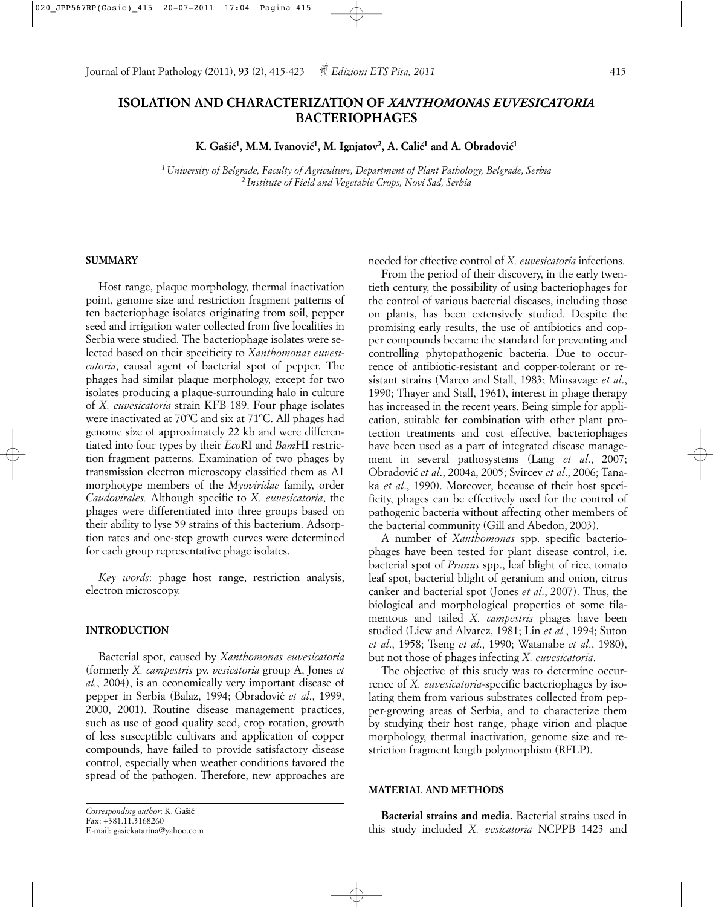# **ISOLATION AND CHARACTERIZATION OF** *XANTHOMONAS EUVESICATORIA* **BACTERIOPHAGES**

 $\mathbf{K}.$  Gašić<sup>1</sup>, M.M. Ivanović<sup>1</sup>, M. Ignjatov<sup>2</sup>, A. Calić<sup>1</sup> and A. Obradović<sup>1</sup>

*1 University of Belgrade, Faculty of Agriculture, Department of Plant Pathology, Belgrade, Serbia 2 Institute of Field and Vegetable Crops, Novi Sad, Serbia*

# **SUMMARY**

Host range, plaque morphology, thermal inactivation point, genome size and restriction fragment patterns of ten bacteriophage isolates originating from soil, pepper seed and irrigation water collected from five localities in Serbia were studied. The bacteriophage isolates were selected based on their specificity to *Xanthomonas euvesicatoria*, causal agent of bacterial spot of pepper. The phages had similar plaque morphology, except for two isolates producing a plaque-surrounding halo in culture of *X. euvesicatoria* strain KFB 189. Four phage isolates were inactivated at 70ºC and six at 71ºC. All phages had genome size of approximately 22 kb and were differentiated into four types by their *Eco*RI and *Bam*HI restriction fragment patterns. Examination of two phages by transmission electron microscopy classified them as A1 morphotype members of the *Myoviridae* family, order *Caudovirales.* Although specific to *X. euvesicatoria*, the phages were differentiated into three groups based on their ability to lyse 59 strains of this bacterium. Adsorption rates and one-step growth curves were determined for each group representative phage isolates.

*Key words*: phage host range, restriction analysis, electron microscopy.

## **INTRODUCTION**

Bacterial spot, caused by *Xanthomonas euvesicatoria* (formerly *X. campestris* pv. *vesicatoria* group A, Jones *et al.*, 2004), is an economically very important disease of pepper in Serbia (Balaz, 1994; Obradovic´ *et al*., 1999, 2000, 2001). Routine disease management practices, such as use of good quality seed, crop rotation, growth of less susceptible cultivars and application of copper compounds, have failed to provide satisfactory disease control, especially when weather conditions favored the spread of the pathogen. Therefore, new approaches are needed for effective control of *X. euvesicatoria* infections.

From the period of their discovery, in the early twentieth century, the possibility of using bacteriophages for the control of various bacterial diseases, including those on plants, has been extensively studied. Despite the promising early results, the use of antibiotics and copper compounds became the standard for preventing and controlling phytopathogenic bacteria. Due to occurrence of antibiotic-resistant and copper-tolerant or resistant strains (Marco and Stall, 1983; Minsavage *et al*., 1990; Thayer and Stall, 1961), interest in phage therapy has increased in the recent years. Being simple for application, suitable for combination with other plant protection treatments and cost effective, bacteriophages have been used as a part of integrated disease management in several pathosystems (Lang *et al*., 2007; Obradovic´ *et al*., 2004a, 2005; Svircev *et al*., 2006; Tanaka *et al*., 1990). Moreover, because of their host specificity, phages can be effectively used for the control of pathogenic bacteria without affecting other members of the bacterial community (Gill and Abedon, 2003).

A number of *Xanthomonas* spp. specific bacteriophages have been tested for plant disease control, i.e. bacterial spot of *Prunus* spp., leaf blight of rice, tomato leaf spot, bacterial blight of geranium and onion, citrus canker and bacterial spot (Jones *et al*., 2007). Thus, the biological and morphological properties of some filamentous and tailed *X. campestris* phages have been studied (Liew and Alvarez, 1981; Lin *et al.*, 1994; Suton *et al*., 1958; Tseng *et al*., 1990; Watanabe *et al*., 1980), but not those of phages infecting *X. euvesicatoria*.

The objective of this study was to determine occurrence of *X. euvesicatoria*-specific bacteriophages by isolating them from various substrates collected from pepper-growing areas of Serbia, and to characterize them by studying their host range, phage virion and plaque morphology, thermal inactivation, genome size and restriction fragment length polymorphism (RFLP).

## **MATERIAL AND METHODS**

**Bacterial strains and media.** Bacterial strains used in this study included *X. vesicatoria* NCPPB 1423 and

Corresponding author: K. Gašić Fax: +381.11.3168260 E-mail: gasickatarina@yahoo.com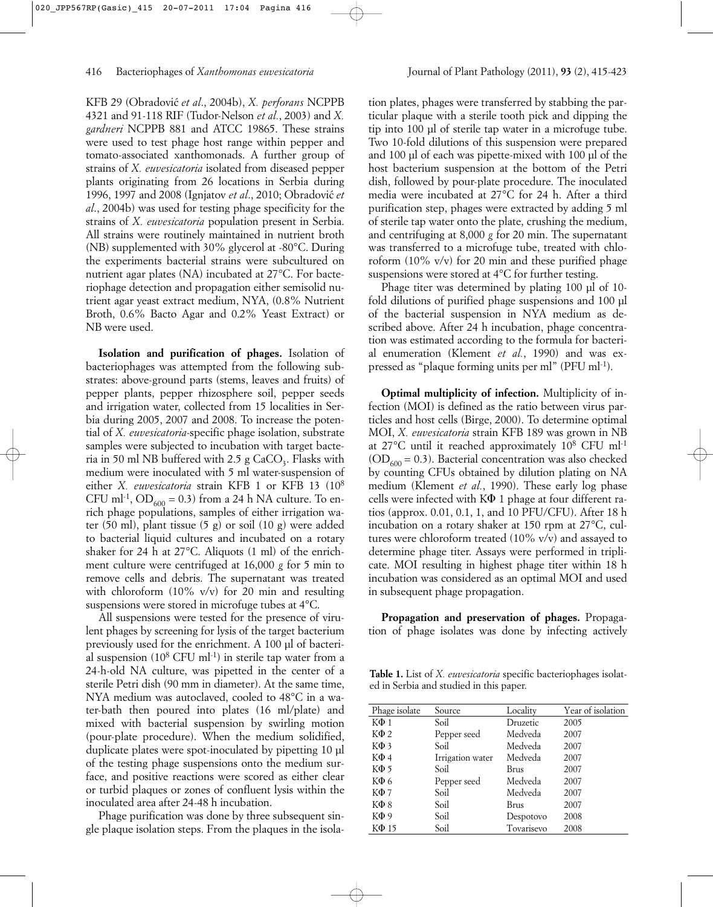KFB 29 (Obradovic´ *et al*., 2004b), *X. perforans* NCPPB 4321 and 91-118 RIF (Tudor-Nelson *et al.*, 2003) and *X. gardneri* NCPPB 881 and ATCC 19865. These strains were used to test phage host range within pepper and tomato-associated xanthomonads. A further group of strains of *X. euvesicatoria* isolated from diseased pepper plants originating from 26 locations in Serbia during 1996, 1997 and 2008 (Ignjatov *et al*., 2010; Obradovic´ *et al*., 2004b) was used for testing phage specificity for the strains of *X. euvesicatoria* population present in Serbia. All strains were routinely maintained in nutrient broth (NB) supplemented with 30% glycerol at -80°C. During the experiments bacterial strains were subcultured on nutrient agar plates (NA) incubated at 27°C. For bacteriophage detection and propagation either semisolid nutrient agar yeast extract medium, NYA, (0.8% Nutrient Broth, 0.6% Bacto Agar and 0.2% Yeast Extract) or NB were used.

**Isolation and purification of phages.** Isolation of bacteriophages was attempted from the following substrates: above-ground parts (stems, leaves and fruits) of pepper plants, pepper rhizosphere soil, pepper seeds and irrigation water, collected from 15 localities in Serbia during 2005, 2007 and 2008. To increase the potential of *X. euvesicatoria-*specific phage isolation, substrate samples were subjected to incubation with target bacteria in 50 ml NB buffered with  $2.5$  g  $CaCO<sub>2</sub>$ . Flasks with medium were inoculated with 5 ml water-suspension of either *X. euvesicatoria* strain KFB 1 or KFB 13 (108 CFU ml<sup>-1</sup>, OD<sub>600</sub> = 0.3) from a 24 h NA culture. To enrich phage populations, samples of either irrigation water (50 ml), plant tissue (5 g) or soil (10 g) were added to bacterial liquid cultures and incubated on a rotary shaker for 24 h at 27°C. Aliquots (1 ml) of the enrichment culture were centrifuged at 16,000 *g* for 5 min to remove cells and debris. The supernatant was treated with chloroform  $(10\% \text{ v/v})$  for 20 min and resulting suspensions were stored in microfuge tubes at 4°C.

All suspensions were tested for the presence of virulent phages by screening for lysis of the target bacterium previously used for the enrichment. A 100 µl of bacterial suspension  $(10^8 \text{ CFU ml-1})$  in sterile tap water from a 24-h-old NA culture, was pipetted in the center of a sterile Petri dish (90 mm in diameter). At the same time, NYA medium was autoclaved, cooled to 48°C in a water-bath then poured into plates (16 ml/plate) and mixed with bacterial suspension by swirling motion (pour-plate procedure). When the medium solidified, duplicate plates were spot-inoculated by pipetting 10 µl of the testing phage suspensions onto the medium surface, and positive reactions were scored as either clear or turbid plaques or zones of confluent lysis within the inoculated area after 24-48 h incubation.

Phage purification was done by three subsequent single plaque isolation steps. From the plaques in the isola-

tion plates, phages were transferred by stabbing the particular plaque with a sterile tooth pick and dipping the tip into 100 µl of sterile tap water in a microfuge tube. Two 10-fold dilutions of this suspension were prepared and 100 µl of each was pipette-mixed with 100 µl of the host bacterium suspension at the bottom of the Petri dish, followed by pour-plate procedure. The inoculated media were incubated at 27°C for 24 h. After a third purification step, phages were extracted by adding 5 ml of sterile tap water onto the plate, crushing the medium, and centrifuging at 8,000 *g* for 20 min. The supernatant was transferred to a microfuge tube, treated with chloroform (10% v/v) for 20 min and these purified phage suspensions were stored at 4°C for further testing.

Phage titer was determined by plating 100 µl of 10 fold dilutions of purified phage suspensions and 100 µl of the bacterial suspension in NYA medium as described above. After 24 h incubation, phage concentration was estimated according to the formula for bacterial enumeration (Klement *et al.*, 1990) and was expressed as "plaque forming units per ml" (PFU ml<sup>-1</sup>).

**Optimal multiplicity of infection.** Multiplicity of infection (MOI) is defined as the ratio between virus particles and host cells (Birge, 2000). To determine optimal MOI, *X. euvesicatoria* strain KFB 189 was grown in NB at 27°C until it reached approximately 108 CFU ml-1  $(OD<sub>600</sub> = 0.3)$ . Bacterial concentration was also checked by counting CFUs obtained by dilution plating on NA medium (Klement *et al.*, 1990). These early log phase cells were infected with  $K\Phi$  1 phage at four different ratios (approx. 0.01, 0.1, 1, and 10 PFU/CFU). After 18 h incubation on a rotary shaker at 150 rpm at 27°C, cultures were chloroform treated  $(10\% \text{ v/v})$  and assayed to determine phage titer. Assays were performed in triplicate. MOI resulting in highest phage titer within 18 h incubation was considered as an optimal MOI and used in subsequent phage propagation.

**Propagation and preservation of phages.** Propagation of phage isolates was done by infecting actively

**Table 1.** List of *X. euvesicatoria* specific bacteriophages isolated in Serbia and studied in this paper.

| Phage isolate | Source           | Locality   | Year of isolation |  |  |
|---------------|------------------|------------|-------------------|--|--|
| $K\Phi$ 1     | Soil             | Druzetic   | 2005              |  |  |
| $K\Phi$ 2     | Pepper seed      | Medveda    | 2007              |  |  |
| $K\Phi$ 3     | Soil             | Medveda    | 2007              |  |  |
| $K\Phi$ 4     | Irrigation water | Medveda    | 2007              |  |  |
| $K\Phi$ 5     | Soil             | Brus       | 2007              |  |  |
| $K\Phi$ 6     | Pepper seed      | Medveda    | 2007              |  |  |
| $K\Phi$ 7     | Soil             | Medveda    | 2007              |  |  |
| $K\Phi$ 8     | Soil             | Brus       | 2007              |  |  |
| $K\Phi$ 9     | Soil             | Despotovo  | 2008              |  |  |
| $K\Phi$ 15    | Soil             | Tovarisevo | 2008              |  |  |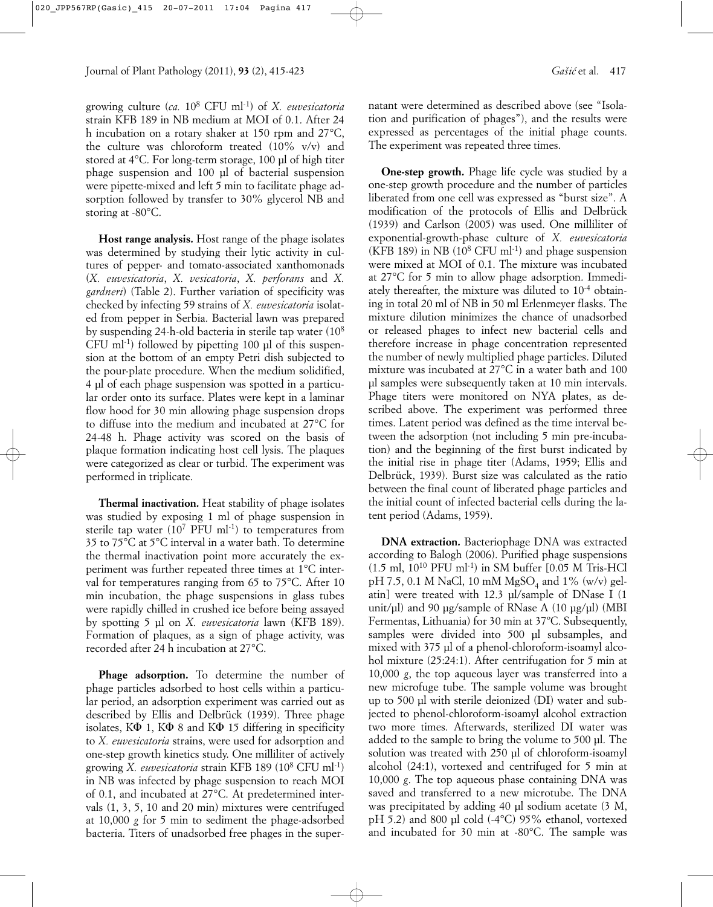growing culture (*ca.* 108 CFU ml-1) of *X. euvesicatoria* strain KFB 189 in NB medium at MOI of 0.1. After 24 h incubation on a rotary shaker at 150 rpm and 27°C, the culture was chloroform treated (10% v/v) and stored at 4°C. For long-term storage, 100 µl of high titer phage suspension and 100 µl of bacterial suspension were pipette-mixed and left 5 min to facilitate phage adsorption followed by transfer to 30% glycerol NB and storing at -80°C.

**Host range analysis.** Host range of the phage isolates was determined by studying their lytic activity in cultures of pepper- and tomato-associated xanthomonads (*X. euvesicatoria*, *X. vesicatoria*, *X. perforans* and *X. gardneri*) (Table 2). Further variation of specificity was checked by infecting 59 strains of *X. euvesicatoria* isolated from pepper in Serbia. Bacterial lawn was prepared by suspending 24-h-old bacteria in sterile tap water (108  $CFU$  ml<sup>-1</sup>) followed by pipetting 100  $\mu$ l of this suspension at the bottom of an empty Petri dish subjected to the pour-plate procedure. When the medium solidified, 4 µl of each phage suspension was spotted in a particular order onto its surface. Plates were kept in a laminar flow hood for 30 min allowing phage suspension drops to diffuse into the medium and incubated at 27°C for 24-48 h. Phage activity was scored on the basis of plaque formation indicating host cell lysis. The plaques were categorized as clear or turbid. The experiment was performed in triplicate.

**Thermal inactivation.** Heat stability of phage isolates was studied by exposing 1 ml of phage suspension in sterile tap water  $(10^7 \text{ PFU ml-1})$  to temperatures from 35 to 75°C at 5°C interval in a water bath. To determine the thermal inactivation point more accurately the experiment was further repeated three times at 1°C interval for temperatures ranging from 65 to 75°C. After 10 min incubation, the phage suspensions in glass tubes were rapidly chilled in crushed ice before being assayed by spotting 5 µl on *X. euvesicatoria* lawn (KFB 189). Formation of plaques, as a sign of phage activity, was recorded after 24 h incubation at 27°C.

**Phage adsorption.** To determine the number of phage particles adsorbed to host cells within a particular period, an adsorption experiment was carried out as described by Ellis and Delbrück (1939). Three phage isolates,  $K\Phi$  1,  $K\Phi$  8 and  $K\Phi$  15 differing in specificity to *X. euvesicatoria* strains, were used for adsorption and one-step growth kinetics study. One milliliter of actively growing *X. euvesicatoria* strain KFB 189 (108 CFU ml-1) in NB was infected by phage suspension to reach MOI of 0.1, and incubated at 27°C. At predetermined intervals (1, 3, 5, 10 and 20 min) mixtures were centrifuged at 10,000 *g* for 5 min to sediment the phage-adsorbed bacteria. Titers of unadsorbed free phages in the supernatant were determined as described above (see "Isolation and purification of phages"), and the results were expressed as percentages of the initial phage counts. The experiment was repeated three times.

**One-step growth.** Phage life cycle was studied by a one-step growth procedure and the number of particles liberated from one cell was expressed as "burst size". A modification of the protocols of Ellis and Delbrück (1939) and Carlson (2005) was used. One milliliter of exponential-growth-phase culture of *X. euvesicatoria* (KFB 189) in NB  $(10^8 \text{ CFU ml}^{-1})$  and phage suspension were mixed at MOI of 0.1. The mixture was incubated at 27°C for 5 min to allow phage adsorption. Immediately thereafter, the mixture was diluted to 10-4 obtaining in total 20 ml of NB in 50 ml Erlenmeyer flasks. The mixture dilution minimizes the chance of unadsorbed or released phages to infect new bacterial cells and therefore increase in phage concentration represented the number of newly multiplied phage particles. Diluted mixture was incubated at 27°C in a water bath and 100 µl samples were subsequently taken at 10 min intervals. Phage titers were monitored on NYA plates, as described above. The experiment was performed three times. Latent period was defined as the time interval between the adsorption (not including 5 min pre-incubation) and the beginning of the first burst indicated by the initial rise in phage titer (Adams, 1959; Ellis and Delbrück, 1939). Burst size was calculated as the ratio between the final count of liberated phage particles and the initial count of infected bacterial cells during the latent period (Adams, 1959).

**DNA extraction.** Bacteriophage DNA was extracted according to Balogh (2006). Purified phage suspensions  $(1.5 \text{ ml}, 10^{10} \text{ PFU ml-1})$  in SM buffer  $[0.05 \text{ M}$  Tris-HCl pH 7.5, 0.1 M NaCl, 10 mM  $MgSO<sub>4</sub>$  and 1% (w/v) gelatin] were treated with 12.3 µl/sample of DNase I (1 unit/µl) and 90 µg/sample of RNase A (10 µg/µl) (MBI Fermentas, Lithuania) for 30 min at 37ºC. Subsequently, samples were divided into 500 µl subsamples, and mixed with 375 µl of a phenol-chloroform-isoamyl alcohol mixture (25:24:1). After centrifugation for 5 min at 10,000 *g*, the top aqueous layer was transferred into a new microfuge tube. The sample volume was brought up to 500 µl with sterile deionized (DI) water and subjected to phenol-chloroform-isoamyl alcohol extraction two more times. Afterwards, sterilized DI water was added to the sample to bring the volume to 500 µl. The solution was treated with 250 µl of chloroform-isoamyl alcohol (24:1), vortexed and centrifuged for 5 min at 10,000 *g*. The top aqueous phase containing DNA was saved and transferred to a new microtube. The DNA was precipitated by adding 40 µl sodium acetate  $(3 \text{ M},$ pH 5.2) and 800 µl cold (-4°C) 95% ethanol, vortexed and incubated for 30 min at -80°C. The sample was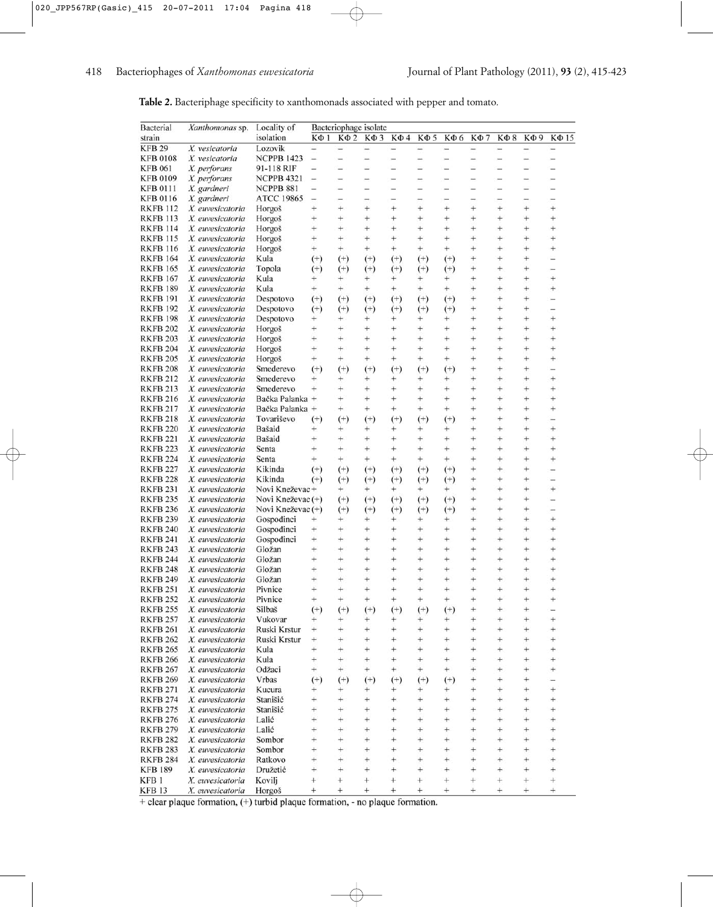| Table 2. Bacteriphage specificity to xanthomonads associated with pepper and tomato. |  |  |  |
|--------------------------------------------------------------------------------------|--|--|--|
|--------------------------------------------------------------------------------------|--|--|--|

| Bacterial       | Xanthomonas sp.  | Locality of       |                          | Bacteriophage isolate    |                          |                          |                          |                          |                          |                          |                          |                          |
|-----------------|------------------|-------------------|--------------------------|--------------------------|--------------------------|--------------------------|--------------------------|--------------------------|--------------------------|--------------------------|--------------------------|--------------------------|
| strain          |                  | isolation         | $K\Phi$ 1                | $K\Phi 2$                | КФЗ                      | $K\Phi$ 4                | <b>ΚΦ5</b>               | КФ 6                     | $K\Phi$ 7                | $K\Phi$ 8                | КФ9                      | КФ 15                    |
| <b>KFB 29</b>   | X. vesicatoria   | Lozovik           | $\overline{\phantom{0}}$ |                          | $\overline{\phantom{0}}$ | $\overline{a}$           | -                        | $\overline{\phantom{0}}$ | $\overline{\phantom{0}}$ | $\overline{ }$           | $\overline{\phantom{0}}$ | $\overline{\phantom{0}}$ |
| <b>KFB 0108</b> | X. vesicatoria   | <b>NCPPB 1423</b> | $\frac{1}{2}$            | $\overline{\phantom{0}}$ | $\overline{\phantom{a}}$ | $\overline{\phantom{0}}$ | $\overline{\phantom{0}}$ |                          | $\overline{\phantom{0}}$ | $\overline{\phantom{0}}$ | $\overline{\phantom{a}}$ | Ξ                        |
| <b>KFB 061</b>  | X. perforans     | 91-118 RIF        | $\overline{\phantom{0}}$ |                          | ÷                        | ÷                        | -                        |                          | $\overline{\phantom{0}}$ |                          |                          |                          |
| <b>KFB 0109</b> | X. perforans     | <b>NCPPB 4321</b> | $\overline{\phantom{a}}$ |                          | -                        |                          | -                        |                          | -                        |                          |                          |                          |
| <b>KFB 0111</b> | X. gardneri      | NCPPB 881         | $\frac{1}{2}$            | -                        | ÷                        | $\overline{\phantom{a}}$ | -                        | $\overline{\phantom{0}}$ | -                        | -                        | $\overline{\phantom{a}}$ |                          |
| <b>KFB 0116</b> | X. gardneri      | <b>ATCC 19865</b> | $\overline{a}$           |                          |                          |                          | -                        |                          |                          |                          |                          |                          |
| <b>RKFB 112</b> | X. euvesicatoria | Horgoš            | $^{+}$                   | $^{+}$                   | $+$                      | $^{+}$                   | $^{+}$                   | $^{+}$                   | $^{+}$                   | $^{+}$                   | $^{+}$                   | $^{+}$                   |
| <b>RKFB 113</b> | X. euvesicatoria | Horgoš            | $^{+}$                   | $^{+}$                   | $+$                      | $^{+}$                   | $^{+}$                   | $^{+}$                   | $^{+}$                   | $^{+}$                   | $^{+}$                   | $+$                      |
| <b>RKFB 114</b> |                  |                   | $^{+}$                   | $^{+}$                   | $+$                      | $^{+}$                   | $\pm$                    | $^{+}$                   | $^{+}$                   | $+$                      | $^{+}$                   | $^{+}$                   |
|                 | X. euvesicatoria | Horgoš            |                          |                          |                          | $^{+}$                   |                          |                          |                          |                          |                          |                          |
| <b>RKFB 115</b> | X. euvesicatoria | Horgoš            | $^{+}$                   | $+$                      | $^{+}$                   |                          | $^{+}$                   | $^{+}$                   | $^{+}$                   | $^{+}$                   | $^{+}$                   | $^{+}$                   |
| <b>RKFB 116</b> | X. euvesicatoria | Horgoš            | $+$                      | $+$                      | $+$                      | $^{+}$                   | $^{+}$                   | $+$                      | $^{+}$                   | $+$                      | $^{+}$                   | $^{+}$                   |
| <b>RKFB 164</b> | X. euvesicatoria | Kula              | $^{(+)}$                 | $^{(+)}$                 | $^{(+)}$                 | $^{(+)}$                 | $^{(+)}$                 | $^{(+)}$                 | $^{+}$                   | $^{+}$                   | $^{+}$                   |                          |
| <b>RKFB 165</b> | X. euvesicatoria | Topola            | $^{(+)}$                 | $^{(+)}$                 | $^{(+)}$                 | $^{(+)}$                 | $^{(+)}$                 | $^{(+)}$                 | $^{+}$                   | $^{+}$                   | $^{+}$                   |                          |
| <b>RKFB 167</b> | X. euvesicatoria | Kula              | $^{+}$                   | $^{+}$                   | $^{+}$                   | $^{+}$                   | $+$                      | $^{+}$                   | $^{+}$                   | $^{+}$                   | $^{+}$                   | $+$                      |
| <b>RKFB 189</b> | X. euvesicatoria | Kula              | $^{+}$                   | $+$                      | $+$                      | $+$                      | $^{+}$                   | $^{+}$                   | $^{+}$                   | $^{+}$                   | $^{+}$                   | $^{+}$                   |
| <b>RKFB 191</b> | X. euvesicatoria | Despotovo         | $^{(+)}$                 | $^{(+)}$                 | $^{(+)}$                 | $^{(+)}$                 | $^{(+)}$                 | $^{(+)}$                 | $^{+}$                   | $^{+}$                   | $^{+}$                   | $\equiv$                 |
| <b>RKFB 192</b> | X. euvesicatoria | Despotovo         | $^{(+)}$                 | $^{(+)}$                 | $^{(+)}$                 | $^{(+)}$                 | $^{(+)}$                 | $^{(+)}$                 | $^{+}$                   | $^{+}$                   | $^{+}$                   |                          |
| <b>RKFB 198</b> | X. euvesicatoria | Despotovo         | $^{+}$                   | $^{+}$                   | $+$                      | $^{+}$                   | $^{+}$                   | $^{+}$                   | $^{+}$                   | $^{+}$                   | $^{+}$                   | $^{+}$                   |
| <b>RKFB 202</b> | X. euvesicatoria | Horgoš            | $^{+}$                   | $^{+}$                   | $^{+}$                   | $^{+}$                   | $^{+}$                   | $^{+}$                   | $^{+}$                   | $^{+}$                   | $^{+}$                   | $^{+}$                   |
| <b>RKFB 203</b> | X. euvesicatoria | Horgoš            | $^{+}$                   | $^{+}$                   | $^{+}$                   | $^{+}$                   | $^{+}$                   | $^{+}$                   | $^{+}$                   | $^{+}$                   | $^{+}$                   | $^{+}$                   |
| <b>RKFB 204</b> | X. euvesicatoria | Horgoš            | $^{+}$                   | $^{+}$                   | $^{+}$                   | $^{+}$                   | $^{+}$                   | $^{+}$                   | $^{+}$                   | $^{+}$                   | $^{+}$                   | $^{+}$                   |
| <b>RKFB 205</b> | X. euvesicatoria | Horgoš            | $^{+}$                   | $^{+}$                   | $^{+}$                   | $^{+}$                   | $^{+}$                   | $^{+}$                   | $^{+}$                   | $^{+}$                   | $^{+}$                   | $^{+}$                   |
| <b>RKFB 208</b> | X. euvesicatoria | Smederevo         | $^{(+)}$                 | $^{(+)}$                 | $^{(+)}$                 | $^{(+)}$                 | $^{(+)}$                 | $^{(+)}$                 | $^{+}$                   | $^{+}$                   | $^{+}$                   |                          |
| <b>RKFB 212</b> | X. euvesicatoria | Smederevo         | $+$                      | $^{+}$                   | $^{+}$                   | $^+$                     | $^{+}$                   | $^+$                     | $^{+}$                   | $^{+}$                   | $^{+}$                   | $^{+}$                   |
| <b>RKFB 213</b> |                  |                   | $^{+}$                   | $+$                      | $+$                      | $^{+}$                   | $^{+}$                   | $^{+}$                   | $^{+}$                   | $^{+}$                   | $^{+}$                   | $^{+}$                   |
|                 | X. euvesicatoria | Smederevo         |                          |                          |                          |                          |                          |                          |                          |                          |                          |                          |
| <b>RKFB 216</b> | X. euvesicatoria | Bačka Palanka +   |                          | $^{+}$                   | $^{+}$                   | $^{+}$                   | $^{+}$                   | $^{+}$                   | $^{+}$                   | $^{+}$                   | $\ddot{}$                | $^{+}$                   |
| <b>RKFB 217</b> | X. euvesicatoria | Bačka Palanka +   |                          | $+$                      | $+$                      | $+$                      | $^{+}$                   | $+$                      | $^{+}$                   | $^{+}$                   | $^{+}$                   | $^{+}$                   |
| <b>RKFB 218</b> | X. euvesicatoria | Tovariševo        | $^{(+)}$                 | $^{(+)}$                 | $^{(+)}$                 | $^{(+)}$                 | $^{(+)}$                 | $^{(+)}$                 | $^{+}$                   | $^{+}$                   | $^{+}$                   | -                        |
| <b>RKFB 220</b> | X. euvesicatoria | Bašaid            | $^{+}$                   | $+$                      | $^{+}$                   | ÷                        | $^{+}$                   | $^{+}$                   | $^{+}$                   | $^{+}$                   | $^{+}$                   | $^{+}$                   |
| <b>RKFB 221</b> | X. euvesicatoria | Bašaid            | $^{+}$                   | $+$                      | $^{+}$                   | $^{+}$                   | $^{+}$                   | $^{+}$                   | $^{+}$                   | $^{+}$                   | $^{+}$                   | $^{+}$                   |
| <b>RKFB 223</b> | X. euvesicatoria | Senta             | $^{+}$                   | $^{+}$                   | $^{+}$                   | $^{+}$                   | $^{+}$                   | $^{+}$                   | $^{+}$                   | $^{+}$                   | $^{+}$                   | $^{+}$                   |
| <b>RKFB 224</b> | X. euvesicatoria | Senta             | $^{+}$                   | $+$                      | $^{+}$                   | $^{+}$                   | $^{+}$                   | $^{+}$                   | $^{+}$                   | $^{+}$                   | $^{+}$                   | $^{+}$                   |
| <b>RKFB 227</b> | X. euvesicatoria | Kikinda           | $^{(+)}$                 | $^{(+)}$                 | $^{(+)}$                 | $^{(+)}$                 | $^{(+)}$                 | $^{(+)}$                 | $^{+}$                   | $^{+}$                   | $^{+}$                   |                          |
| <b>RKFB 228</b> | X. euvesicatoria | Kikinda           | $^{(+)}$                 | $^{(+)}$                 | $^{(+)}$                 | $^{(+)}$                 | $^{(+)}$                 | $^{(+)}$                 | $^{+}$                   | $^{+}$                   | $^{+}$                   |                          |
| <b>RKFB 231</b> | X. euvesicatoria | Novi Kneževac+    |                          | $^{+}$                   | $+$                      | $^{+}$                   | $+$                      | $^{+}$                   | $+$                      | $+$                      | $^{+}$                   | $^{+}$                   |
| <b>RKFB 235</b> | X. euvesicatoria | Novi Kneževac (+) |                          | $^{(+)}$                 | $^{(+)}$                 | $^{(+)}$                 | $(+)$                    | $^{(+)}$                 | $^{+}$                   | $^{+}$                   | $^{+}$                   |                          |
| <b>RKFB 236</b> | X. euvesicatoria | Novi Kneževac (+) |                          | $^{(+)}$                 | $^{(+)}$                 | $^{(+)}$                 | $^{(+)}$                 | $^{(+)}$                 | $+$                      | $^{+}$                   | $^{+}$                   | $\overline{\phantom{0}}$ |
| <b>RKFB 239</b> | X. euvesicatoria | Gospodinci        | $^{+}$                   | $^{+}$                   | $^+$                     | $^+$                     | $^{+}$                   | $^{+}$                   | $^{+}$                   | $^{+}$                   | $^{+}$                   | $^{+}$                   |
| <b>RKFB 240</b> | X. euvesicatoria | Gospodinci        | $^{+}$                   | $^{+}$                   | $^{+}$                   | $^{+}$                   | $^{+}$                   | $^+$                     | $^{+}$                   | $^{+}$                   | $^{+}$                   | $^{+}$                   |
| <b>RKFB 241</b> | X. euvesicatoria | Gospodinci        | $^{+}$                   | $^{+}$                   | $^{+}$                   | $^{+}$                   | $^{+}$                   | $^{+}$                   | $^{+}$                   | $^{+}$                   | $^{+}$                   | $^{+}$                   |
| <b>RKFB 243</b> | X. euvesicatoria | Gložan            | $^{+}$                   | $+$                      | $^{+}$                   | $^{+}$                   | $^{+}$                   | $^{+}$                   | $^{+}$                   | $^{+}$                   | $^{+}$                   | $^{+}$                   |
| <b>RKFB 244</b> | X. euvesicatoria | Gložan            | $^{+}$                   | $^{+}$                   | $^{+}$                   | $^{+}$                   | $^{+}$                   | $^+$                     | $^{+}$                   | $^{+}$                   | $^{+}$                   | $^{+}$                   |
|                 |                  | Gložan            |                          |                          | $+$                      | $+$                      | $^{+}$                   |                          |                          | $^{+}$                   |                          | $^{+}$                   |
| <b>RKFB 248</b> | X. euvesicatoria |                   | $^{+}$                   | $^{+}$                   |                          |                          |                          | $\ddot{}$                | $^{+}$                   |                          | $\ddot{}$                |                          |
| <b>RKFB 249</b> | X. euvesicatoria | Gložan            | $^{+}$                   | $^{+}$                   | $+$                      | $^{+}$                   | $^{+}$                   | $^{+}$                   | $+$                      | $\ddot{}$                | $^{+}$                   | $^{+}$                   |
| <b>RKFB 251</b> | X. euvesicatoria | Pivnice           | $^{+}$                   | $+$                      | $^{+}$                   | $+$                      | $^{+}$                   | $^{+}$                   | $^{+}$                   | $^{+}$                   | $^{+}$                   | $+$                      |
| <b>RKFB 252</b> | X. euvesicatoria | Pivnice           | $^{+}$                   | $+$                      | $^{+}$                   | $^{+}$                   | $^{+}$                   | $^{+}$                   | $+$                      | $^{+}$                   | $+$                      | $^{+}$                   |
| <b>RKFB 255</b> | X. euvesicatoria | Silbaš            | $^{(+)}$                 | $^{(+)}$                 | $^{(+)}$                 | $^{(+)}$                 | $^{(+)}$                 | $^{(+)}$                 | $\pm$                    | $^{+}$                   | $^{+}$                   | $\qquad \qquad$          |
| <b>RKFB 257</b> | X. euvesicatoria | Vukovar           | $^{+}$                   | $^{+}$                   | $^{+}$                   | $^{+}$                   | $^{+}$                   | $^{+}$                   | $^{+}$                   | $^{+}$                   | $^{+}$                   | $^{+}$                   |
| <b>RKFB 261</b> | X. euvesicatoria | Ruski Krstur      | $^{+}$                   | $+$                      | $^{+}$                   | $^{+}$                   | $^{+}$                   | +                        | $^{+}$                   | $^{+}$                   | $^{+}$                   | $\pm$                    |
| <b>RKFB 262</b> | X. euvesicatoria | Ruski Krstur      | $^{+}$                   | $+$                      | $^{+}$                   | $^{+}$                   | $^{+}$                   | $^{+}$                   | $^{+}$                   | $^{+}$                   | $^{+}$                   | $^{+}$                   |
| <b>RKFB 265</b> | X. euvesicatoria | Kula              | $^{+}$                   | $^{+}$                   | $^{+}$                   | $^{+}$                   | $^{+}$                   | $^+$                     | $+$                      | $^{+}$                   | $^{+}$                   | $^{+}$                   |
| <b>RKFB 266</b> | X. euvesicatoria | Kula              | $^{+}$                   | $^{+}$                   | $+$                      | $\pm$                    | $^{+}$                   | $^+$                     | $^{+}$                   | $^{+}$                   | $^{+}$                   | $^{+}$                   |
| <b>RKFB 267</b> | X. euvesicatoria | Odžaci            | $+$                      | $+$                      | $+$                      | $+$                      | $^{+}$                   | $+$                      | $^{+}$                   | $^{+}$                   | $+$                      | $^{+}$                   |
| <b>RKFB 269</b> | X. euvesicatoria | Vrbas             | $^{(+)}$                 | $^{(+)}$                 | $^{(+)}$                 | $^{(+)}$                 | $^{(+)}$                 | $^{(+)}$                 | $^{+}$                   | $+$                      | $^{+}$                   | $\overline{\phantom{0}}$ |
| <b>RKFB 271</b> | X. euvesicatoria | Kucura            | $^{+}$                   | $^{+}$                   | $^{+}$                   | $^{+}$                   | $^{+}$                   | $^{+}$                   | $^{+}$                   | $^{+}$                   | $^{+}$                   | $^{+}$                   |
| <b>RKFB 274</b> | X. euvesicatoria | Stanišić          | $^{+}$                   | $^{+}$                   | $^{+}$                   | $\pm$                    | $\pm$                    | $^{+}$                   | $\pm$                    | $^{+}$                   | $^{+}$                   | $^{+}$                   |
| <b>RKFB 275</b> | X. euvesicatoria | Stanišić          | $^{+}$                   | $^{+}$                   | $^{+}$                   | $^{+}$                   | $^{+}$                   | $^{+}$                   | $^{+}$                   | $^{+}$                   | $^{+}$                   | $^{+}$                   |
| <b>RKFB 276</b> | X. euvesicatoria | Lalić             | $+$                      | $+$                      | $^{+}$                   | $^{+}$                   | $^{+}$                   | $\pm$                    | $^{+}$                   | $^{+}$                   | $^{+}$                   | $+$                      |
|                 |                  |                   | $^{+}$                   | $^{+}$                   | $^{+}$                   | $^{+}$                   | $^{+}$                   | $^{+}$                   | $+$                      | $^{+}$                   | $^{+}$                   | $^{+}$                   |
| <b>RKFB 279</b> | X. euvesicatoria | Lalić             |                          |                          |                          |                          |                          |                          |                          |                          |                          |                          |
| <b>RKFB 282</b> | X. euvesicatoria | Sombor            | $^{+}$                   | $^{+}$                   | $^{+}$                   | $^{+}$                   | $^{+}$                   | $^+$                     | $^{+}$                   | $^{+}$                   | $^{+}$                   | $^{+}$                   |
| <b>RKFB 283</b> | X. euvesicatoria | Sombor            | $^{+}$                   | $^{+}$                   | $^{+}$                   | $^+$                     | $^{+}$                   | ÷                        | $^{+}$                   | $^{+}$                   | $^{+}$                   | ÷                        |
| <b>RKFB 284</b> | X. euvesicatoria | Ratkovo           | $^{+}$                   | $^{+}$                   | $^{+}$                   | $^{+}$                   | $^{+}$                   | $^{+}$                   | $+$                      | $^{+}$                   | $^{+}$                   | $^{+}$                   |
| <b>KFB 189</b>  | X. euvesicatoria | Družetić          | $^{+}$                   | $^{+}$                   | $^{+}$                   | $^{+}$                   | $^{+}$                   | $^{+}$                   | $^{+}$                   | $^{+}$                   | $^{+}$                   | $^{+}$                   |
| KFB 1           | X. euvesicatoria | Kovilj            | $^{+}$                   | $^{+}$                   | $^{+}$                   | $^+$                     | $^{+}$                   | $^{+}$                   | $^{+}$                   | $^{+}$                   | $^{+}$                   | $^{+}$                   |
| <b>KFB 13</b>   | X. euvesicatoria | Horgoš            | $^{+}$                   | $^{+}$                   | $^{+}$                   | $^{+}$                   | $^{+}$                   | $^{+}$                   | $^{+}$                   | $^{+}$                   | $^{+}$                   | $^{+}$                   |

+ clear plaque formation, (+) turbid plaque formation, - no plaque formation.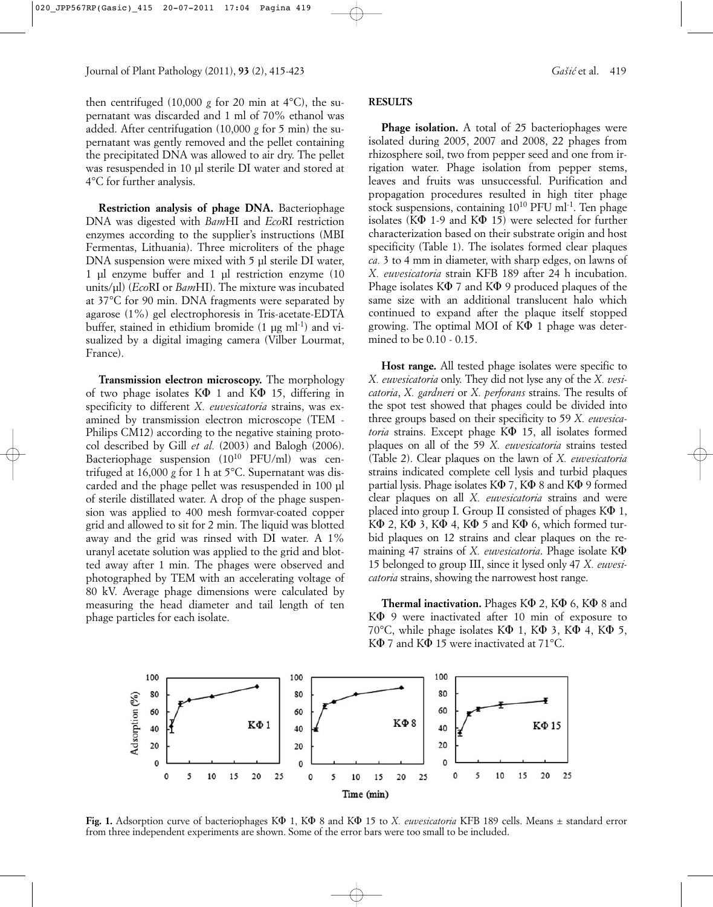then centrifuged (10,000  $g$  for 20 min at 4°C), the supernatant was discarded and 1 ml of 70% ethanol was added. After centrifugation (10,000 *g* for 5 min) the supernatant was gently removed and the pellet containing the precipitated DNA was allowed to air dry. The pellet was resuspended in 10 µl sterile DI water and stored at 4°C for further analysis.

**Restriction analysis of phage DNA.** Bacteriophage DNA was digested with *Bam*HI and *Eco*RI restriction enzymes according to the supplier's instructions (MBI Fermentas, Lithuania). Three microliters of the phage DNA suspension were mixed with 5 µl sterile DI water, 1 µl enzyme buffer and 1 µl restriction enzyme (10 units/µl) (*Eco*RI or *Bam*HI). The mixture was incubated at 37°C for 90 min. DNA fragments were separated by agarose (1%) gel electrophoresis in Tris-acetate-EDTA buffer, stained in ethidium bromide  $(1 \text{ up ml-1})$  and visualized by a digital imaging camera (Vilber Lourmat, France).

**Transmission electron microscopy.** The morphology of two phage isolates  $K\Phi$  1 and  $K\Phi$  15, differing in specificity to different *X. euvesicatoria* strains, was examined by transmission electron microscope (TEM - Philips CM12) according to the negative staining protocol described by Gill *et al.* (2003) and Balogh (2006). Bacteriophage suspension (1010 PFU/ml) was centrifuged at 16,000 *g* for 1 h at 5°C. Supernatant was discarded and the phage pellet was resuspended in 100 µl of sterile distillated water. A drop of the phage suspension was applied to 400 mesh formvar-coated copper grid and allowed to sit for 2 min. The liquid was blotted away and the grid was rinsed with DI water. A 1% uranyl acetate solution was applied to the grid and blotted away after 1 min. The phages were observed and photographed by TEM with an accelerating voltage of 80 kV. Average phage dimensions were calculated by measuring the head diameter and tail length of ten phage particles for each isolate.

#### **RESULTS**

**Phage isolation.** A total of 25 bacteriophages were isolated during 2005, 2007 and 2008, 22 phages from rhizosphere soil, two from pepper seed and one from irrigation water. Phage isolation from pepper stems, leaves and fruits was unsuccessful. Purification and propagation procedures resulted in high titer phage stock suspensions, containing 10<sup>10</sup> PFU ml<sup>-1</sup>. Ten phage isolates ( $K\Phi$  1-9 and  $K\Phi$  15) were selected for further characterization based on their substrate origin and host specificity (Table 1). The isolates formed clear plaques *ca.* 3 to 4 mm in diameter, with sharp edges, on lawns of *X. euvesicatoria* strain KFB 189 after 24 h incubation. Phage isolates  $K\Phi$  7 and  $K\Phi$  9 produced plaques of the same size with an additional translucent halo which continued to expand after the plaque itself stopped growing. The optimal MOI of  $K\Phi$  1 phage was determined to be 0.10 - 0.15.

**Host range.** All tested phage isolates were specific to *X. euvesicatoria* only. They did not lyse any of the *X. vesicatoria*, *X. gardneri* or *X. perforans* strains. The results of the spot test showed that phages could be divided into three groups based on their specificity to 59 *X. euvesicatoria* strains. Except phage K $\Phi$  15, all isolates formed plaques on all of the 59 *X. euvesicatoria* strains tested (Table 2). Clear plaques on the lawn of *X. euvesicatoria* strains indicated complete cell lysis and turbid plaques partial lysis. Phage isolates  $K\Phi$  7,  $K\Phi$  8 and  $K\Phi$  9 formed clear plaques on all *X. euvesicatoria* strains and were placed into group I. Group II consisted of phages  $K\Phi$  1,  $K\Phi$  2,  $K\Phi$  3,  $K\Phi$  4,  $K\Phi$  5 and  $K\Phi$  6, which formed turbid plaques on 12 strains and clear plaques on the remaining 47 strains of *X. euvesicatoria*. Phage isolate K $\Phi$ 15 belonged to group III, since it lysed only 47 *X. euvesicatoria* strains, showing the narrowest host range.

**Thermal inactivation.** Phages K $\Phi$  2, K $\Phi$  6, K $\Phi$  8 and K $\Phi$  9 were inactivated after 10 min of exposure to 70°C, while phage isolates  $K\Phi$  1,  $K\Phi$  3,  $K\Phi$  4,  $K\Phi$  5, K $\Phi$  7 and K $\Phi$  15 were inactivated at 71 $^{\circ}$ C.



Fig. 1. Adsorption curve of bacteriophages K $\Phi$  1, K $\Phi$  8 and K $\Phi$  15 to *X. euvesicatoria* KFB 189 cells. Means  $\pm$  standard error from three independent experiments are shown. Some of the error bars were too small to be included.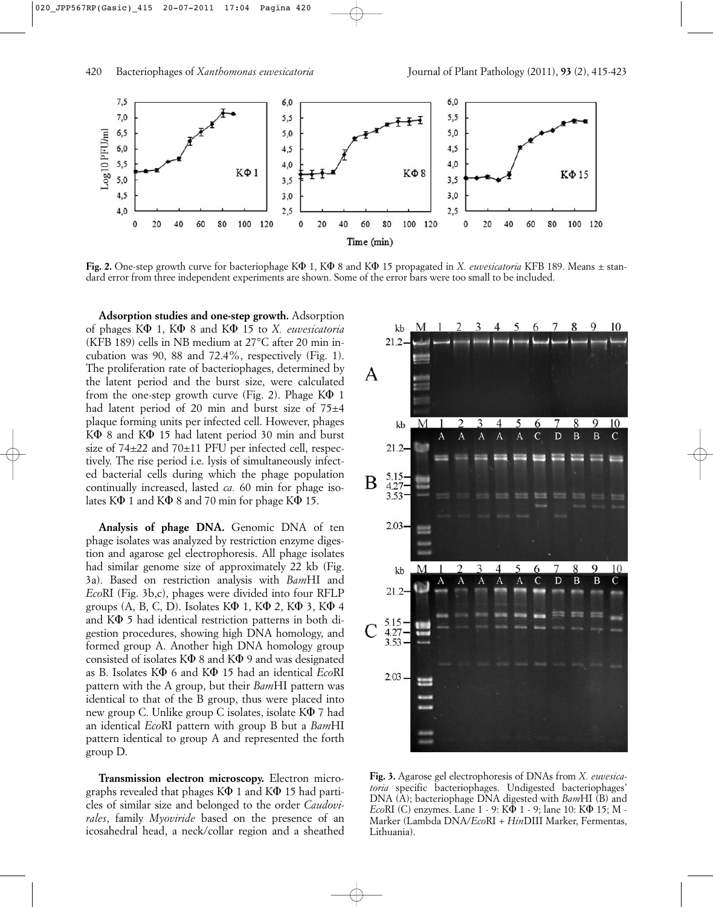

**Fig. 2.** One-step growth curve for bacteriophage K $\Phi$  1, K $\Phi$  8 and K $\Phi$  15 propagated in *X. euvesicatoria* KFB 189. Means  $\pm$  standard error from three independent experiments are shown. Some of the error bars were too small to be included.

**Adsorption studies and one-step growth.** Adsorption of phages K $\Phi$  1, K $\Phi$  8 and K $\Phi$  15 to *X. euvesicatoria* (KFB 189) cells in NB medium at 27°C after 20 min incubation was 90, 88 and 72.4%, respectively (Fig. 1). The proliferation rate of bacteriophages, determined by the latent period and the burst size, were calculated from the one-step growth curve (Fig. 2). Phage  $K\Phi$  1 had latent period of 20 min and burst size of 75±4 plaque forming units per infected cell. However, phages  $K\Phi$  8 and  $K\Phi$  15 had latent period 30 min and burst size of 74±22 and 70±11 PFU per infected cell, respectively. The rise period i.e. lysis of simultaneously infected bacterial cells during which the phage population continually increased, lasted *ca.* 60 min for phage isolates  $K\Phi$  1 and  $K\Phi$  8 and 70 min for phage  $K\Phi$  15.

**Analysis of phage DNA.** Genomic DNA of ten phage isolates was analyzed by restriction enzyme digestion and agarose gel electrophoresis. All phage isolates had similar genome size of approximately 22 kb (Fig. 3a). Based on restriction analysis with *Bam*HI and *Eco*RI (Fig. 3b,c), phages were divided into four RFLP groups  $(A, B, C, D)$ . Isolates  $K\Phi$  1,  $K\Phi$  2,  $K\Phi$  3,  $K\Phi$  4 and  $K\Phi$  5 had identical restriction patterns in both digestion procedures, showing high DNA homology, and formed group A. Another high DNA homology group consisted of isolates  $K\Phi$  8 and  $K\Phi$  9 and was designated as B. Isolates KF 6 and KF 15 had an identical *Eco*RI pattern with the A group, but their *Bam*HI pattern was identical to that of the B group, thus were placed into new group C. Unlike group C isolates, isolate  $K\Phi$  7 had an identical *Eco*RI pattern with group B but a *Bam*HI pattern identical to group A and represented the forth group D.

**Transmission electron microscopy.** Electron micrographs revealed that phages  $K\Phi$  1 and  $K\Phi$  15 had particles of similar size and belonged to the order *Caudovirales*, family *Myoviride* based on the presence of an icosahedral head, a neck/collar region and a sheathed



**Fig. 3.** Agarose gel electrophoresis of DNAs from *X. euvesicatoria* specific bacteriophages. Undigested bacteriophages' DNA (A); bacteriophage DNA digested with *Bam*HI (B) and *Eco*RI (C) enzymes. Lane 1 - 9: K $\overline{\Phi}$  1 - 9; lane 10: K $\Phi$  15; M -Marker (Lambda DNA/*Eco*RI + *Hin*DIII Marker, Fermentas, Lithuania).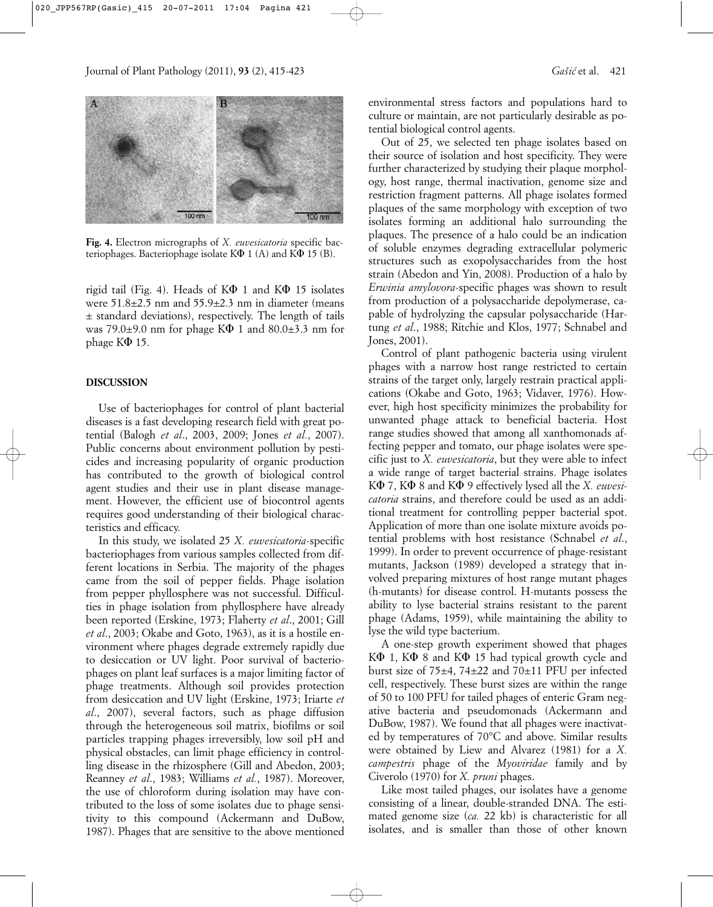

**Fig. 4.** Electron micrographs of *X. euvesicatoria* specific bacteriophages. Bacteriophage isolate  $K\Phi$  1 (A) and  $K\Phi$  15 (B).

rigid tail (Fig. 4). Heads of  $K\Phi$  1 and  $K\Phi$  15 isolates were 51.8±2.5 nm and 55.9±2.3 nm in diameter (means ± standard deviations), respectively. The length of tails was 79.0 $\pm$ 9.0 nm for phage K $\Phi$  1 and 80.0 $\pm$ 3.3 nm for phage  $K\Phi$  15.

#### **DISCUSSION**

Use of bacteriophages for control of plant bacterial diseases is a fast developing research field with great potential (Balogh *et al*., 2003, 2009; Jones *et al.*, 2007). Public concerns about environment pollution by pesticides and increasing popularity of organic production has contributed to the growth of biological control agent studies and their use in plant disease management. However, the efficient use of biocontrol agents requires good understanding of their biological characteristics and efficacy.

In this study, we isolated 25 *X. euvesicatoria*-specific bacteriophages from various samples collected from different locations in Serbia. The majority of the phages came from the soil of pepper fields. Phage isolation from pepper phyllosphere was not successful. Difficulties in phage isolation from phyllosphere have already been reported (Erskine, 1973; Flaherty *et al*., 2001; Gill *et al*., 2003; Okabe and Goto, 1963), as it is a hostile environment where phages degrade extremely rapidly due to desiccation or UV light. Poor survival of bacteriophages on plant leaf surfaces is a major limiting factor of phage treatments. Although soil provides protection from desiccation and UV light (Erskine, 1973; Iriarte *et al*., 2007), several factors, such as phage diffusion through the heterogeneous soil matrix, biofilms or soil particles trapping phages irreversibly, low soil pH and physical obstacles, can limit phage efficiency in controlling disease in the rhizosphere (Gill and Abedon, 2003; Reanney *et al*., 1983; Williams *et al.*, 1987). Moreover, the use of chloroform during isolation may have contributed to the loss of some isolates due to phage sensitivity to this compound (Ackermann and DuBow, 1987). Phages that are sensitive to the above mentioned environmental stress factors and populations hard to culture or maintain, are not particularly desirable as potential biological control agents.

Out of 25, we selected ten phage isolates based on their source of isolation and host specificity. They were further characterized by studying their plaque morphology, host range, thermal inactivation, genome size and restriction fragment patterns. All phage isolates formed plaques of the same morphology with exception of two isolates forming an additional halo surrounding the plaques. The presence of a halo could be an indication of soluble enzymes degrading extracellular polymeric structures such as exopolysaccharides from the host strain (Abedon and Yin, 2008). Production of a halo by *Erwinia amylovora*-specific phages was shown to result from production of a polysaccharide depolymerase, capable of hydrolyzing the capsular polysaccharide (Hartung *et al*., 1988; Ritchie and Klos, 1977; Schnabel and Jones, 2001).

Control of plant pathogenic bacteria using virulent phages with a narrow host range restricted to certain strains of the target only, largely restrain practical applications (Okabe and Goto, 1963; Vidaver, 1976). However, high host specificity minimizes the probability for unwanted phage attack to beneficial bacteria. Host range studies showed that among all xanthomonads affecting pepper and tomato, our phage isolates were specific just to *X. euvesicatoria*, but they were able to infect a wide range of target bacterial strains. Phage isolates K $\Phi$  7, K $\Phi$  8 and K $\Phi$  9 effectively lysed all the *X. euvesicatoria* strains, and therefore could be used as an additional treatment for controlling pepper bacterial spot. Application of more than one isolate mixture avoids potential problems with host resistance (Schnabel *et al*., 1999). In order to prevent occurrence of phage-resistant mutants, Jackson (1989) developed a strategy that involved preparing mixtures of host range mutant phages (h-mutants) for disease control. H-mutants possess the ability to lyse bacterial strains resistant to the parent phage (Adams, 1959), while maintaining the ability to lyse the wild type bacterium.

A one-step growth experiment showed that phages  $K\Phi$  1,  $K\Phi$  8 and  $K\Phi$  15 had typical growth cycle and burst size of 75±4, 74±22 and 70±11 PFU per infected cell, respectively. These burst sizes are within the range of 50 to 100 PFU for tailed phages of enteric Gram negative bacteria and pseudomonads (Ackermann and DuBow, 1987). We found that all phages were inactivated by temperatures of 70°C and above. Similar results were obtained by Liew and Alvarez (1981) for a *X. campestris* phage of the *Myoviridae* family and by Civerolo (1970) for *X. pruni* phages.

Like most tailed phages, our isolates have a genome consisting of a linear, double-stranded DNA. The estimated genome size (*ca.* 22 kb) is characteristic for all isolates, and is smaller than those of other known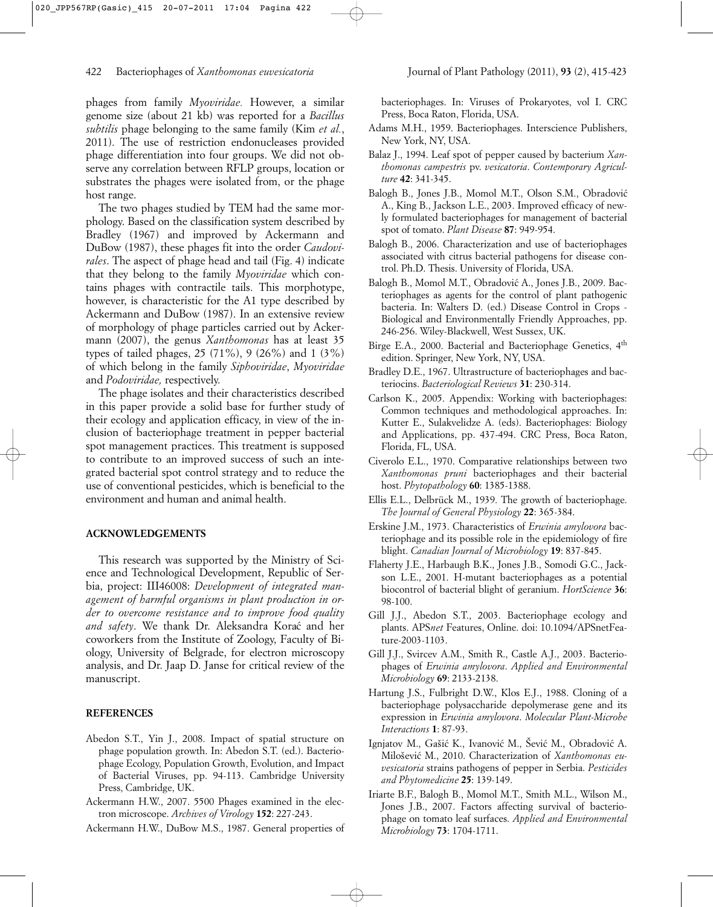phages from family *Myoviridae.* However, a similar genome size (about 21 kb) was reported for a *Bacillus subtilis* phage belonging to the same family (Kim *et al.*, 2011). The use of restriction endonucleases provided phage differentiation into four groups. We did not observe any correlation between RFLP groups, location or substrates the phages were isolated from, or the phage host range.

The two phages studied by TEM had the same morphology. Based on the classification system described by Bradley (1967) and improved by Ackermann and DuBow (1987), these phages fit into the order *Caudovirales*. The aspect of phage head and tail (Fig. 4) indicate that they belong to the family *Myoviridae* which contains phages with contractile tails. This morphotype, however, is characteristic for the A1 type described by Ackermann and DuBow (1987). In an extensive review of morphology of phage particles carried out by Ackermann (2007), the genus *Xanthomonas* has at least 35 types of tailed phages, 25 (71%), 9 (26%) and 1 (3%) of which belong in the family *Siphoviridae*, *Myoviridae* and *Podoviridae,* respectively.

The phage isolates and their characteristics described in this paper provide a solid base for further study of their ecology and application efficacy, in view of the inclusion of bacteriophage treatment in pepper bacterial spot management practices. This treatment is supposed to contribute to an improved success of such an integrated bacterial spot control strategy and to reduce the use of conventional pesticides, which is beneficial to the environment and human and animal health.

# **ACKNOWLEDGEMENTS**

This research was supported by the Ministry of Science and Technological Development, Republic of Serbia, project: III46008: *Development of integrated management of harmful organisms in plant production in order to overcome resistance and to improve food quality and safety*. We thank Dr. Aleksandra Korac´ and her coworkers from the Institute of Zoology, Faculty of Biology, University of Belgrade, for electron microscopy analysis, and Dr. Jaap D. Janse for critical review of the manuscript.

## **REFERENCES**

- Abedon S.T., Yin J., 2008. Impact of spatial structure on phage population growth. In: Abedon S.T. (ed.). Bacteriophage Ecology, Population Growth, Evolution, and Impact of Bacterial Viruses, pp. 94-113. Cambridge University Press, Cambridge, UK.
- Ackermann H.W., 2007. 5500 Phages examined in the electron microscope. *Archives of Virology* **152**: 227-243.
- Ackermann H.W., DuBow M.S., 1987. General properties of

bacteriophages. In: Viruses of Prokaryotes, vol I. CRC Press, Boca Raton, Florida, USA.

- Adams M.H., 1959. Bacteriophages. Interscience Publishers, New York, NY, USA.
- Balaz J., 1994. Leaf spot of pepper caused by bacterium *Xanthomonas campestris* pv. *vesicatoria*. *Contemporary Agriculture* **42**: 341-345.
- Balogh B., Jones J.B., Momol M.T., Olson S.M., Obradovic´ A., King B., Jackson L.E., 2003. Improved efficacy of newly formulated bacteriophages for management of bacterial spot of tomato. *Plant Disease* **87**: 949-954.
- Balogh B., 2006. Characterization and use of bacteriophages associated with citrus bacterial pathogens for disease control. Ph.D. Thesis. University of Florida, USA.
- Balogh B., Momol M.T., Obradović A., Jones J.B., 2009. Bacteriophages as agents for the control of plant pathogenic bacteria. In: Walters D. (ed.) Disease Control in Crops - Biological and Environmentally Friendly Approaches, pp. 246-256. Wiley-Blackwell, West Sussex, UK.
- Birge E.A., 2000. Bacterial and Bacteriophage Genetics, 4th edition. Springer, New York, NY, USA.
- Bradley D.E., 1967. Ultrastructure of bacteriophages and bacteriocins. *Bacteriological Reviews* **31**: 230-314.
- Carlson K., 2005. Appendix: Working with bacteriophages: Common techniques and methodological approaches. In: Kutter E., Sulakvelidze A. (eds). Bacteriophages: Biology and Applications, pp. 437-494. CRC Press, Boca Raton, Florida, FL, USA.
- Civerolo E.L., 1970. Comparative relationships between two *Xanthomonas pruni* bacteriophages and their bacterial host. *Phytopathology* **60**: 1385-1388.
- Ellis E.L., Delbrück M., 1939. The growth of bacteriophage. *The Journal of General Physiology* **22**: 365-384.
- Erskine J.M., 1973. Characteristics of *Erwinia amylovora* bacteriophage and its possible role in the epidemiology of fire blight. *Canadian Journal of Microbiology* **19**: 837-845.
- Flaherty J.E., Harbaugh B.K., Jones J.B., Somodi G.C., Jackson L.E., 2001. H-mutant bacteriophages as a potential biocontrol of bacterial blight of geranium. *HortScience* **36**: 98-100.
- Gill J.J., Abedon S.T., 2003. Bacteriophage ecology and plants. APS*net* Features, Online. doi: 10.1094/APSnetFeature-2003-1103.
- Gill J.J., Svircev A.M., Smith R., Castle A.J., 2003. Bacteriophages of *Erwinia amylovora*. *Applied and Environmental Microbiology* **69**: 2133-2138.
- Hartung J.S., Fulbright D.W., Klos E.J., 1988. Cloning of a bacteriophage polysaccharide depolymerase gene and its expression in *Erwinia amylovora*. *Molecular Plant-Microbe Interactions* **1**: 87-93.
- Ignjatov M., Gašić K., Ivanović M., Šević M., Obradović A. Milošević M., 2010. Characterization of *Xanthomonas euvesicatoria* strains pathogens of pepper in Serbia. *Pesticides and Phytomedicine* **25**: 139-149.
- Iriarte B.F., Balogh B., Momol M.T., Smith M.L., Wilson M., Jones J.B., 2007. Factors affecting survival of bacteriophage on tomato leaf surfaces. *Applied and Environmental Microbiology* **73**: 1704-1711.